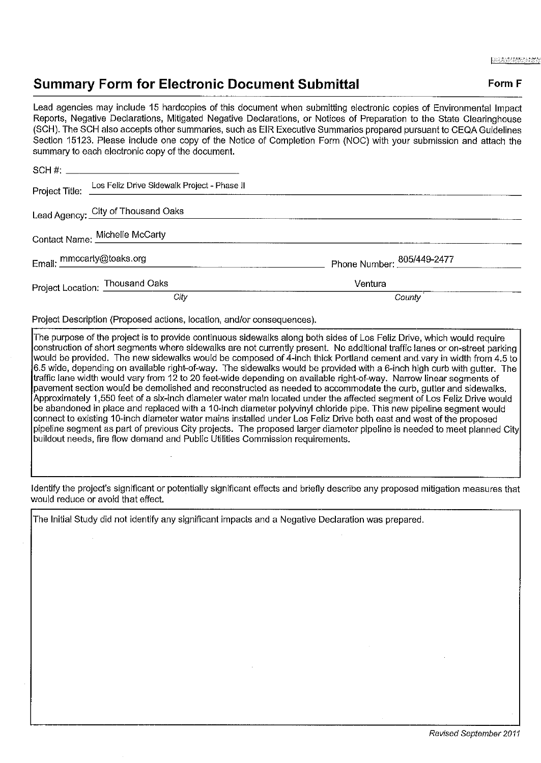## **Summary Form for Electronic Document Submittal Form F Form F**

Lead agencies may include 15 hardcopies of this document when submitting electronic copies of Environmental Impact Reports, Negative Declarations, Mitigated Negative Declarations, or Notices of Preparation to the State Clearinghouse (SCH). The SCH also accepts other summaries, such as EIR Executive Summaries prepared pursuant to CEQA Guidelines Section 15123. Please include one copy of the Notice of Completion Form (NOC) with your submission and attach the summary to each electronic copy of the document.

|                                 | Project Title: Los Feliz Drive Sidewalk Project - Phase II |                            |
|---------------------------------|------------------------------------------------------------|----------------------------|
|                                 | Lead Agency: City of Thousand Oaks                         |                            |
|                                 | Contact Name: Michelle McCarty                             |                            |
| Email: mmccarty@toaks.org       |                                                            | Phone Number: 805/449-2477 |
| Project Location: Thousand Oaks |                                                            | Ventura                    |
|                                 | City                                                       | County                     |

Project Description (Proposed actions, location, and/or consequences).

The purpose of the project is to provide continuous sidewalks along both sides of Los Feliz Drive, which would require construction of short segments where sidewalks are not currently present. No additional traffic lanes or on-street parking would be provided. The new sidewalks would be composed of 4-inch thick Portland cement and vary in width from 4.5 to 6.5 wide, depending on available right-of-way. The sidewalks would be provided with a 6-inch high curb with gutter. The traffic lane width would vary from 12 to 20 feet-wide depending on available right-of-way. Narrow linear segments of pavement section would be demolished and reconstructed as needed to accommodate the curb, gutter and sidewalks. Approximately 1,550 feet of a six-inch diameter water main located under the affected segment of Los Feliz Drive would be abandoned in place and replaced with a 10-inch diameter polyvinyl chloride pipe. This new pipeline segment would connect to existing 10-inch diameter water mains installed under Los Feliz Drive both east and west of the proposed pipeline segment as part of previous City projects. The proposed larger diameter pipeline is needed to meet planned City buildout needs, fire flow demand and Public Utilities Commission requirements.

Identify the project's significant or potentially significant effects and briefly describe any proposed mitigation measures that would reduce or avoid that effect.

The Initial Study did not identify any significant impacts and a Negative Declaration was prepared.